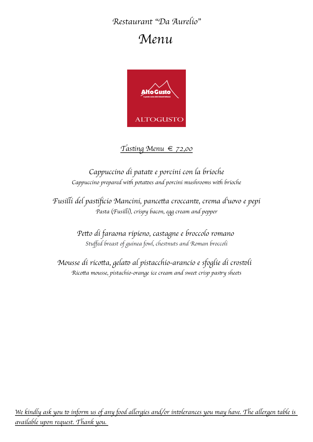# Restaurant "Da Aurelio"

# Menu



## $T$ asting Menu  $\in$  72,00

## Cappuccino di patate e porcini con la brioche Cappuccino prepared with potatoes and porcini mushrooms with brioche

Fusilli del pastificio Mancini, pancetta croccante, crema d<sup>i</sup>uovo e pepi Pasta (Fusilli), crispy bacon, egg cream and pepper

> Petto di faraona ripieno, castagne e broccolo romano Stuffed breast of guinea fowl, chestnuts and Roman broccoli

Mousse di ricotta, gelato al pistacchio-arancio e sfoglie di crostoli Ricotta mousse, pistachio-orange ice cream and sweet crisp pastry sheets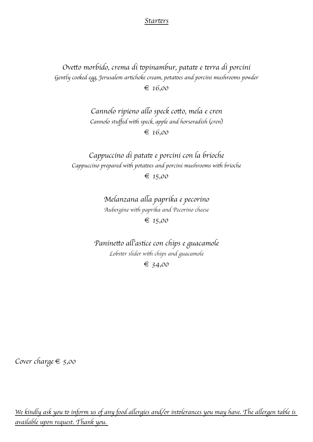#### Starters

Ovetto morbido, crema di topinambur, patate e terra di porcini Gently cooked egg, Jerusalem artichoke cream, potatoes and porcini mushrooms powder € 16,00

> Cannolo rípieno allo speck cotto, mela e cren Cannolo stuffed with speck, apple and horseradish (cren) € 16,00

Cappuccino di patate e porcini con la brioche Cappuccino prepared with potatoes and porcini mushrooms with brioche  $\epsilon$  15,00

> Melanzana alla papríka e pecoríno Aubergine with paprika and Pecorino cheese  $\epsilon$  15,00

Paninetto all'astice con chips e guacamole Lobster slider with chips and guacamole € 34,00

Cover charge  $\epsilon$  5,00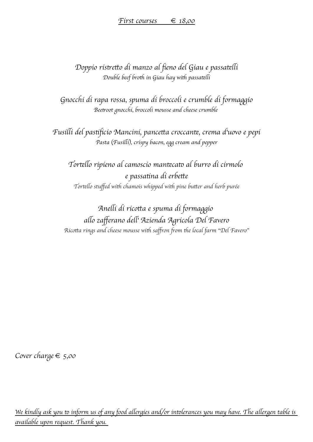Doppio ristretto di manzo al fieno del Giau e passatelli Double beef broth in Giau hay with passatelli

Gnocchi di rapa rossa, spuma di broccoli e crumble di formaggio Beetroot gnocchi, broccoli mousse and cheese crumble

Fusilli del pastificio Mancini, pancetta croccante, crema d'uovo e pepi Pasta (Fusilli), crispy bacon, egg cream and pepper

Tortello rípieno al camoscio mantecato al burro di cirmolo e passatina di erbette Tortello stuffed with chamois whipped with pine butter and herb purée

Anelli di ricotta e spuma di formaggio allo zafferano dell<sup>i</sup> Azienda Agricola Del Favero Ricotta rings and cheese mousse with saffron from the local farm "Del Favero"

Cover charge  $\epsilon$  5,00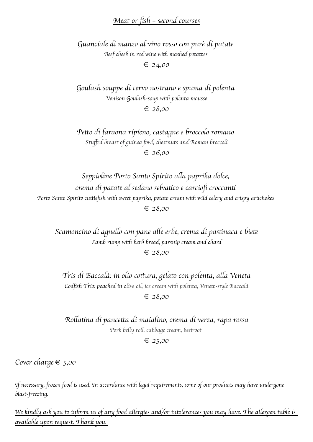## Meat or fish - second courses

Guanciale di manzo al vino rosso con purè di patate Beef cheek in red wine with mashed potatoes

 $\epsilon$  24,00

Goulash souppe di cervo nostrano e spuma di polenta Venison Goulash-soup with polenta mousse  $\epsilon$  28.00

Petto di faraona ripieno, castagne e broccolo romano Stuffed breast of guinea fowl, chestnuts and Roman broccoli  $\epsilon$  26,00

Seppioline Porto Santo Spirito alla paprika dolce, crema di patate al sedano selvatico e carciofi croccanti Porto Santo Spirito cuttlefish with sweet paprika, potato cream with wild celery and crispy artichokes  $\epsilon$  28,00

Scamoncino di agnello con pane alle erbe, crema di pastinaca e biete Lamb rump with herb bread, parsnip cream and chard

 $\epsilon$  28,00

Trís di Baccalà: in olio cottura, gelato con polenta, alla Veneta Codfish Trio: poached in olive oil, ice cream with polenta, Veneto-style Baccalà

 $\epsilon$  28.00

Rollatina di pancetta di maialino, crema di verza, rapa rossa Pork belly roll, cabbage cream, beetroot

 $\epsilon$  25,00

Cover charge  $\epsilon$  5,00

If necessary, frozen food is used. In accordance with legal requirements, some of our products may have undergone blast-freezing.